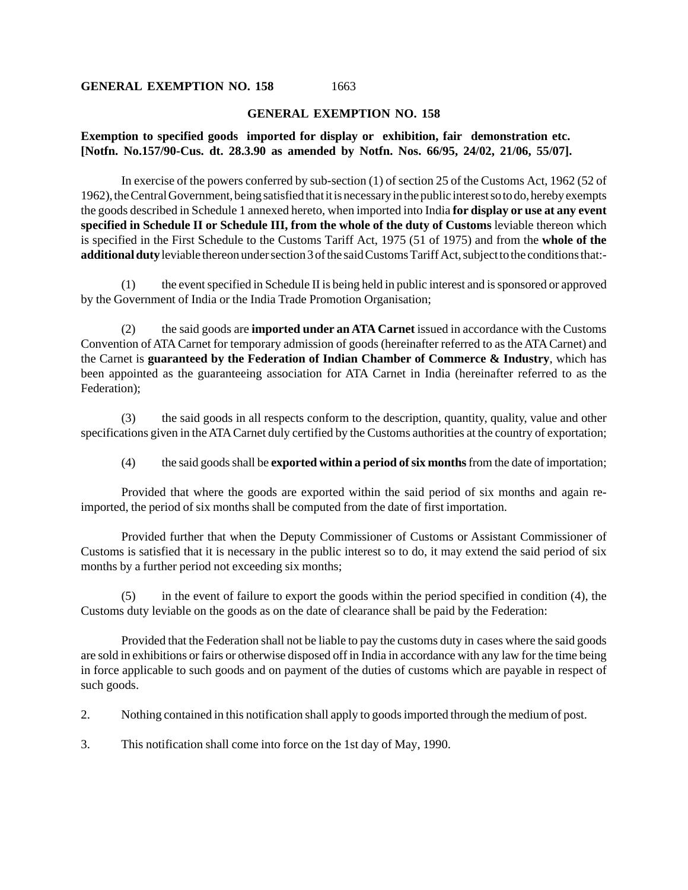## **GENERAL EXEMPTION NO. 158**

1663

## **GENERAL EXEMPTION NO. 158**

## **Exemption to specified goods imported for display or exhibition, fair demonstration etc. [Notfn. No.157/90-Cus. dt. 28.3.90 as amended by Notfn. Nos. 66/95, 24/02, 21/06, 55/07].**

In exercise of the powers conferred by sub-section (1) of section 25 of the Customs Act, 1962 (52 of 1962), the Central Government, being satisfied that it is necessary in the public interest so to do, hereby exempts the goods described in Schedule 1 annexed hereto, when imported into India **for display or use at any event specified in Schedule II or Schedule III, from the whole of the duty of Customs** leviable thereon which is specified in the First Schedule to the Customs Tariff Act, 1975 (51 of 1975) and from the **whole of the additional duty** leviable thereon under section 3 of the said Customs Tariff Act, subject to the conditions that:-

(1) the event specified in Schedule II is being held in public interest and is sponsored or approved by the Government of India or the India Trade Promotion Organisation;

(2) the said goods are **imported under an ATA Carnet** issued in accordance with the Customs Convention of ATA Carnet for temporary admission of goods (hereinafter referred to as the ATA Carnet) and the Carnet is **guaranteed by the Federation of Indian Chamber of Commerce & Industry**, which has been appointed as the guaranteeing association for ATA Carnet in India (hereinafter referred to as the Federation);

(3) the said goods in all respects conform to the description, quantity, quality, value and other specifications given in the ATA Carnet duly certified by the Customs authorities at the country of exportation;

(4) the said goods shall be **exported within a period of six months** from the date of importation;

Provided that where the goods are exported within the said period of six months and again reimported, the period of six months shall be computed from the date of first importation.

Provided further that when the Deputy Commissioner of Customs or Assistant Commissioner of Customs is satisfied that it is necessary in the public interest so to do, it may extend the said period of six months by a further period not exceeding six months;

(5) in the event of failure to export the goods within the period specified in condition (4), the Customs duty leviable on the goods as on the date of clearance shall be paid by the Federation:

Provided that the Federation shall not be liable to pay the customs duty in cases where the said goods are sold in exhibitions or fairs or otherwise disposed off in India in accordance with any law for the time being in force applicable to such goods and on payment of the duties of customs which are payable in respect of such goods.

2. Nothing contained in this notification shall apply to goods imported through the medium of post.

3. This notification shall come into force on the 1st day of May, 1990.